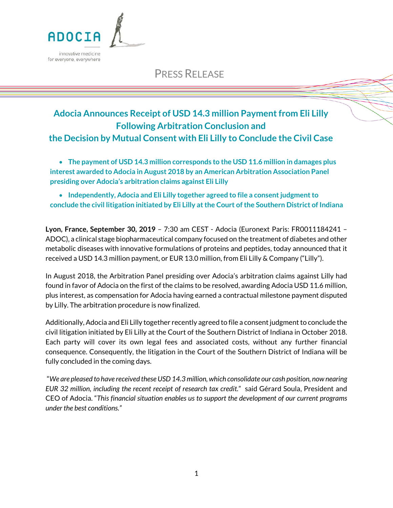

# PRESS RELEASE

## **Adocia Announces Receipt of USD 14.3 million Payment from Eli Lilly Following Arbitration Conclusion and the Decision by Mutual Consent with Eli Lilly to Conclude the Civil Case**

• **The payment of USD 14.3 million corresponds to the USD 11.6 million in damages plus interest awarded to Adocia in August 2018 by an American Arbitration Association Panel presiding over Adocia's arbitration claims against Eli Lilly** 

• **Independently, Adocia and Eli Lilly together agreed to file a consent judgment to conclude the civil litigation initiated by Eli Lilly at the Court of the Southern District of Indiana**

**Lyon, France, September 30, 2019** – 7:30 am CEST - Adocia (Euronext Paris: FR0011184241 – ADOC), a clinical stage biopharmaceutical company focused on the treatment of diabetes and other metabolic diseases with innovative formulations of proteins and peptides, today announced that it received a USD 14.3 million payment, or EUR 13.0 million, from Eli Lilly & Company ("Lilly").

In August 2018, the Arbitration Panel presiding over Adocia's arbitration claims against Lilly had found in favor of Adocia on the first of the claims to be resolved, awarding Adocia USD 11.6 million, plus interest, as compensation for Adocia having earned a contractual milestone payment disputed by Lilly. The arbitration procedure is now finalized.

Additionally, Adocia and Eli Lilly together recently agreed to file a consent judgment to conclude the civil litigation initiated by Eli Lilly at the Court of the Southern District of Indiana in October 2018. Each party will cover its own legal fees and associated costs, without any further financial consequence. Consequently, the litigation in the Court of the Southern District of Indiana will be fully concluded in the coming days.

"*We are pleased to have received these USD 14.3 million, which consolidate our cash position, now nearing EUR 32 million, including the recent receipt of research tax credit.*"said Gérard Soula, President and CEO of Adocia. "*This financial situation enables us to support the development of our current programs under the best conditions."*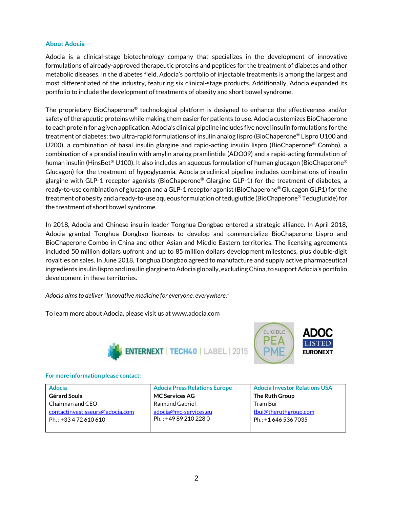### **About Adocia**

Adocia is a clinical-stage biotechnology company that specializes in the development of innovative formulations of already-approved therapeutic proteins and peptides for the treatment of diabetes and other metabolic diseases. In the diabetes field, Adocia's portfolio of injectable treatments is among the largest and most differentiated of the industry, featuring six clinical-stage products. Additionally, Adocia expanded its portfolio to include the development of treatments of obesity and short bowel syndrome.

The proprietary BioChaperone® technological platform is designed to enhance the effectiveness and/or safety of therapeutic proteins while making them easier for patients to use. Adocia customizes BioChaperone to each protein for a given application. Adocia's clinical pipeline includes five novel insulin formulations for the treatment of diabetes: two ultra-rapid formulations of insulin analog lispro (BioChaperone® Lispro U100 and U200), a combination of basal insulin glargine and rapid-acting insulin lispro (BioChaperone® Combo), a combination of a prandial insulin with amylin analog pramlintide (ADO09) and a rapid-acting formulation of human insulin (HinsBet® U100). It also includes an aqueous formulation of human glucagon (BioChaperone® Glucagon) for the treatment of hypoglycemia. Adocia preclinical pipeline includes combinations of insulin glargine with GLP-1 receptor agonists (BioChaperone® Glargine GLP-1) for the treatment of diabetes, a ready-to-use combination of glucagon and a GLP-1 receptor agonist (BioChaperone® Glucagon GLP1) for the treatment of obesity and a ready-to-use aqueous formulation of teduglutide (BioChaperone® Teduglutide) for the treatment of short bowel syndrome.

In 2018, Adocia and Chinese insulin leader Tonghua Dongbao entered a strategic alliance. In April 2018, Adocia granted Tonghua Dongbao licenses to develop and commercialize BioChaperone Lispro and BioChaperone Combo in China and other Asian and Middle Eastern territories. The licensing agreements included 50 million dollars upfront and up to 85 million dollars development milestones, plus double-digit royalties on sales. In June 2018, Tonghua Dongbao agreed to manufacture and supply active pharmaceutical ingredients insulin lispro and insulin glargine to Adocia globally, excluding China, to support Adocia's portfolio development in these territories.

*Adocia aims to deliver "Innovative medicine for everyone, everywhere."*

To learn more about Adocia, please visit us at www.adocia.com





### **For more information please contact:**

| <b>Adocia</b>                   | <b>Adocia Press Relations Europe</b> | <b>Adocia Investor Relations USA</b> |
|---------------------------------|--------------------------------------|--------------------------------------|
| Gérard Soula                    | <b>MC Services AG</b>                | The Ruth Group                       |
| Chairman and CEO                | <b>Raimund Gabriel</b>               | Tram Bui                             |
| contactinvestisseurs@adocia.com | adocia@mc-services.eu                | tbui@theruthgroup.com                |
| Ph.: +33 4 72 610 610           | Ph.: +49 89 210 228 0                | Ph.: +1 646 536 7035                 |
|                                 |                                      |                                      |